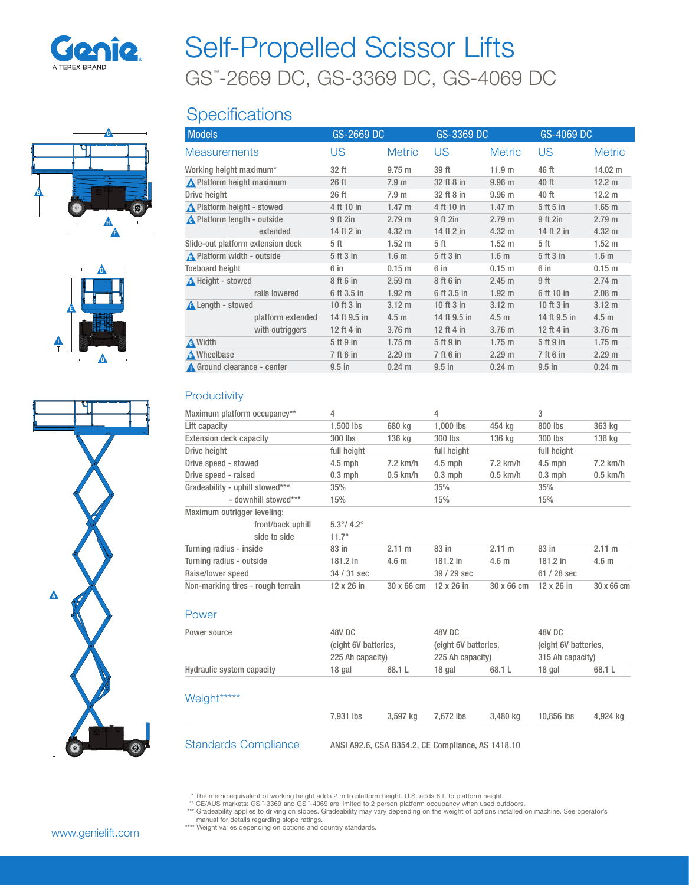

# GS™ -2669 DC, GS-3369 DC, GS-4069 DC Self-Propelled Scissor Lifts

# **Specifications**

| <b>Models</b><br><b>Measurements</b> |                   | GS-2669 DC   |                   | GS-3369 DC   |                   | GS-4069 DC   |                   |
|--------------------------------------|-------------------|--------------|-------------------|--------------|-------------------|--------------|-------------------|
|                                      |                   | US           | <b>Metric</b>     | US           | <b>Metric</b>     | US           | <b>Metric</b>     |
| Working height maximum*              |                   | 32 ft        | $9.75 \text{ m}$  | 39 ft        | 11.9 <sub>m</sub> | 46 ft        | 14.02 m           |
| A Platform height maximum            |                   | 26 ft        | 7.9 <sub>m</sub>  | 32 ft 8 in   | 9.96 <sub>m</sub> | 40 ft        | 12.2 m            |
| Drive height                         |                   | 26 ft        | 7.9 <sub>m</sub>  | 32 ft 8 in   | 9.96 <sub>m</sub> | 40 ft        | 12.2 m            |
| A Platform height - stowed           |                   | 4 ft 10 in   | $1.47 \text{ m}$  | 4 ft 10 in   | $1.47 \text{ m}$  | 5 ft 5 in    | $1.65$ m          |
| A Platform length - outside          |                   | 9 ft 2in     | 2.79 <sub>m</sub> | 9 ft 2in     | 2.79 <sub>m</sub> | 9 ft 2in     | 2.79 <sub>m</sub> |
|                                      | extended          | 14 ft 2 in   | $4.32 \text{ m}$  | 14 ft 2 in   | 4.32 m            | 14 ft 2 in   | 4.32 m            |
| Slide-out platform extension deck    |                   | 5 ft         | 1.52 <sub>m</sub> | 5 ft         | $1.52 \text{ m}$  | 5 ft         | $1.52 \text{ m}$  |
| $\bigwedge$ Platform width - outside |                   | 5 ft 3 in    | 1.6 <sub>m</sub>  | 5 ft 3 in    | 1.6 <sub>m</sub>  | 5 ft 3 in    | 1.6 <sub>m</sub>  |
| <b>Toeboard height</b>               |                   | 6 in         | $0.15$ m          | 6 in         | 0.15 m            | 6 in         | 0.15 m            |
| A Height - stowed                    |                   | 8 ft 6 in    | 2.59 <sub>m</sub> | 8 ft 6 in    | 2.45 m            | 9 ft         | 2.74 m            |
|                                      | rails lowered     | 6 ft 3.5 in  | 1.92 <sub>m</sub> | 6 ft 3.5 in  | 1.92 <sub>m</sub> | 6 ft 10 in   | $2.08$ m          |
| <b>A</b> Length - stowed             |                   | 10 ft 3 in   | $3.12 \text{ m}$  | 10 ft 3 in   | $3.12 \text{ m}$  | 10 ft 3 in   | $3.12 \text{ m}$  |
|                                      | platform extended | 14 ft 9.5 in | 4.5 <sub>m</sub>  | 14 ft 9.5 in | 4.5 <sub>m</sub>  | 14 ft 9.5 in | 4.5 <sub>m</sub>  |
|                                      | with outriggers   | 12 ft 4 in   | 3.76 m            | 12 ft 4 in   | 3.76 m            | 12 ft 4 in   | 3.76 m            |
| A Width                              |                   | 5 ft 9 in    | $1.75 \text{ m}$  | 5 ft 9 in    | $1.75 \text{ m}$  | 5 ft 9 in    | $1.75$ m          |
| Mheelbase                            |                   | 7 ft 6 in    | 2.29 m            | 7 ft 6 in    | 2.29 m            | 7 ft 6 in    | 2.29 <sub>m</sub> |
| Ground clearance - center            |                   | $9.5$ in     | $0.24 \text{ m}$  | $9.5$ in     | $0.24 \text{ m}$  | $9.5$ in     | $0.24 \text{ m}$  |

#### **Productivity**

| Maximum platform occupancy**      | 4                          |                      | 4                |                      | 3                |                      |  |
|-----------------------------------|----------------------------|----------------------|------------------|----------------------|------------------|----------------------|--|
| Lift capacity                     | 1,500 lbs                  | 680 kg               | $1.000$ lbs      | 454 ka               | 800 lbs          | 363 kg               |  |
| <b>Extension deck capacity</b>    | 300 lbs                    | 136 kg               | 300 lbs          | 136 kg               | 300 lbs          | 136 kg               |  |
| Drive height                      | full height                |                      | full height      |                      | full height      |                      |  |
| Drive speed - stowed              | $4.5$ mph                  | $7.2$ km/h           | $4.5$ mph        | $7.2$ km/h           | $4.5$ mph        | $7.2$ km/h           |  |
| Drive speed - raised              | $0.3$ mph                  | $0.5$ km/h           | $0.3$ mph        | $0.5$ km/h           | $0.3$ mph        | $0.5$ km/h           |  |
| Gradeability - uphill stowed***   | 35%                        |                      | 35%              |                      | 35%              |                      |  |
| - downhill stowed***              | 15%                        |                      | 15%              |                      | 15%              |                      |  |
| Maximum outrigger leveling:       |                            |                      |                  |                      |                  |                      |  |
| front/back uphill                 | $5.3^{\circ}/ 4.2^{\circ}$ |                      |                  |                      |                  |                      |  |
| side to side                      | $11.7^{\circ}$             |                      |                  |                      |                  |                      |  |
| Turning radius - inside           | 83 in                      | $2.11 \text{ m}$     | 83 in            | 2.11 m               | 83 in            | $2.11 \text{ m}$     |  |
| Turning radius - outside          | 181.2 in                   | 4.6 <sub>m</sub>     | $181.2$ in       | 4.6 <sub>m</sub>     | 181.2 in         | 4.6 <sub>m</sub>     |  |
| Raise/lower speed                 | $34/31$ sec                |                      | $39/29$ sec      |                      | $61/28$ sec      |                      |  |
| Non-marking tires - rough terrain | 12 x 26 in                 | $30 \times 66$ cm    | 12 x 26 in       | 30 x 66 cm           | 12 x 26 in       | 30 x 66 cm           |  |
| Power                             |                            |                      |                  |                      |                  |                      |  |
| Power source                      | 48V DC                     |                      | 48V DC           |                      | 48V DC           |                      |  |
|                                   |                            | (eight 6V batteries, |                  | (eight 6V batteries, |                  | (eight 6V batteries, |  |
|                                   | 225 Ah capacity)           |                      | 225 Ah capacity) |                      | 315 Ah capacity) |                      |  |
| Hydraulic system capacity         | 18 gal                     | 68.1 L               | 18 gal           | 68.1 L               | 18 gal           | 68.1 L               |  |

### Weight\*\*\*\*\*

| .                           |                                                   |          |           |          |            |          |  |  |  |  |
|-----------------------------|---------------------------------------------------|----------|-----------|----------|------------|----------|--|--|--|--|
|                             | 7.931 lbs                                         | 3.597 ka | 7.672 lbs | 3.480 ka | 10.856 lbs | 4,924 kg |  |  |  |  |
|                             |                                                   |          |           |          |            |          |  |  |  |  |
| <b>Standards Compliance</b> | ANSI A92.6, CSA B354.2, CE Compliance, AS 1418.10 |          |           |          |            |          |  |  |  |  |

\* The metric equivalent of working height adds 2 m to platform height. U.S. adds 6 ft to platform height.<br>\*\* CE/AUS markets: GS'''-3369 and GS'''-4069 are limited to 2 person platform occupancy when used outdoors.<br>\*\*\* Gra manual for details regarding slope ratings. \*\*\*\* Weight varies depending on options and country standards.